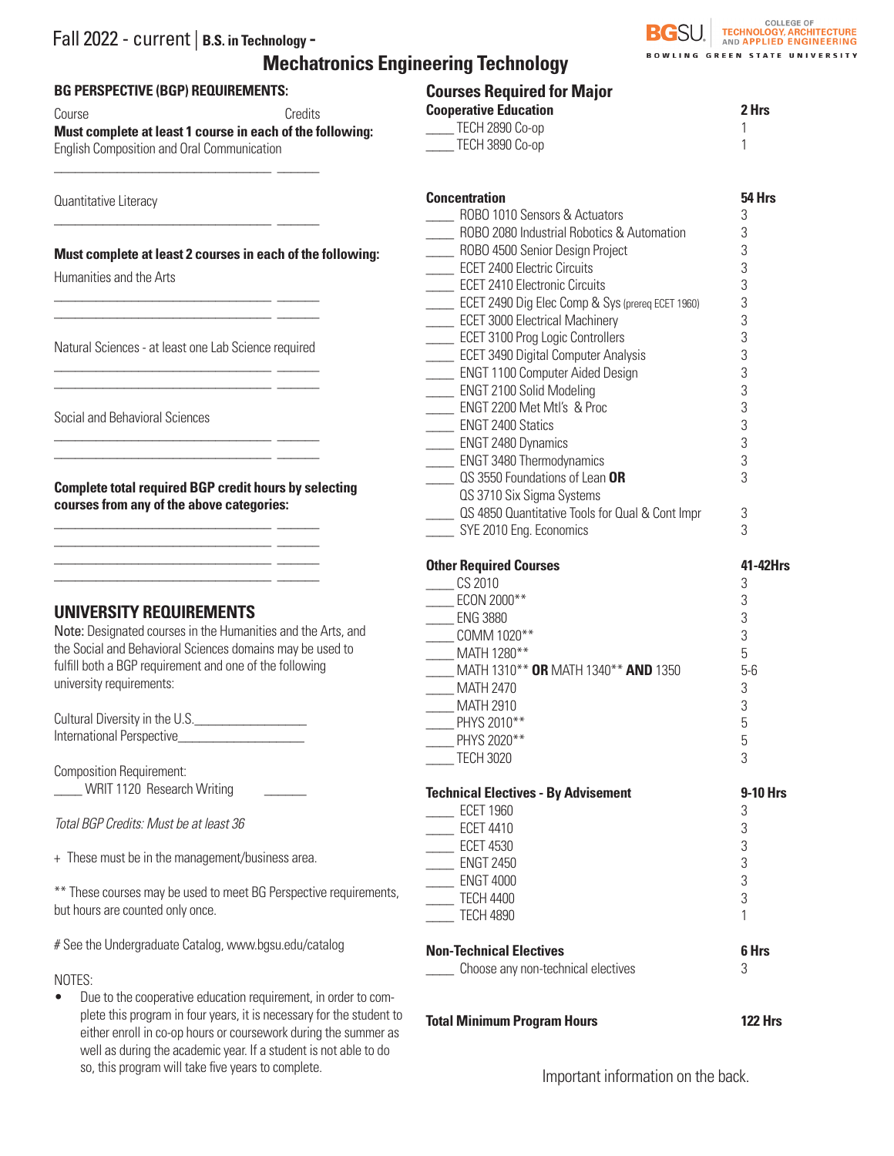# Fall 2022 - current | **B.S. in Technology - Mechatronics Engineering Technology**



# **BG PERSPECTIVE (BGP) REQUIREMENTS:**

\_\_\_\_\_\_\_\_\_\_\_\_\_\_\_\_\_\_\_\_\_\_\_\_\_\_\_\_\_\_\_ \_\_\_\_\_\_

\_\_\_\_\_\_\_\_\_\_\_\_\_\_\_\_\_\_\_\_\_\_\_\_\_\_\_\_\_\_\_ \_\_\_\_\_\_

Course **Course** Credits **Must complete at least 1 course in each of the following:**  English Composition and Oral Communication

Quantitative Literacy

#### **Must complete at least 2 courses in each of the following:**

Humanities and the Arts

Natural Sciences - at least one Lab Science required \_\_\_\_\_\_\_\_\_\_\_\_\_\_\_\_\_\_\_\_\_\_\_\_\_\_\_\_\_\_\_ \_\_\_\_\_\_

\_\_\_\_\_\_\_\_\_\_\_\_\_\_\_\_\_\_\_\_\_\_\_\_\_\_\_\_\_\_\_ \_\_\_\_\_\_

\_\_\_\_\_\_\_\_\_\_\_\_\_\_\_\_\_\_\_\_\_\_\_\_\_\_\_\_\_\_\_ \_\_\_\_\_\_ \_\_\_\_\_\_\_\_\_\_\_\_\_\_\_\_\_\_\_\_\_\_\_\_\_\_\_\_\_\_\_ \_\_\_\_\_\_

\_\_\_\_\_\_\_\_\_\_\_\_\_\_\_\_\_\_\_\_\_\_\_\_\_\_\_\_\_\_\_ \_\_\_\_\_\_

\_\_\_\_\_\_\_\_\_\_\_\_\_\_\_\_\_\_\_\_\_\_\_\_\_\_\_\_\_\_\_ \_\_\_\_\_\_ \_\_\_\_\_\_\_\_\_\_\_\_\_\_\_\_\_\_\_\_\_\_\_\_\_\_\_\_\_\_\_ \_\_\_\_\_\_

\_\_\_\_\_\_\_\_\_\_\_\_\_\_\_\_\_\_\_\_\_\_\_\_\_\_\_\_\_\_\_ \_\_\_\_\_\_ \_\_\_\_\_\_\_\_\_\_\_\_\_\_\_\_\_\_\_\_\_\_\_\_\_\_\_\_\_\_\_ \_\_\_\_\_\_

Social and Behavioral Sciences

**Complete total required BGP credit hours by selecting courses from any of the above categories:**

\_\_\_\_\_\_\_\_\_\_\_\_\_\_\_\_\_\_\_\_\_\_\_\_\_\_\_\_\_\_\_ \_\_\_\_\_\_

# **UNIVERSITY REQUIREMENTS**

Note: Designated courses in the Humanities and the Arts, and the Social and Behavioral Sciences domains may be used to fulfill both a BGP requirement and one of the following university requirements:

Cultural Diversity in the U.S. International Perspective

Composition Requirement: WRIT 1120 Research Writing

*Total BGP Credits: Must be at least 36*

+ These must be in the management/business area.

\*\* These courses may be used to meet BG Perspective requirements, but hours are counted only once.

# See the Undergraduate Catalog, www.bgsu.edu/catalog

### NOTES:

• Due to the cooperative education requirement, in order to complete this program in four years, it is necessary for the student to either enroll in co-op hours or coursework during the summer as well as during the academic year. If a student is not able to do so, this program will take five years to complete.

| <b>Courses Required for Major</b>                           |                 |
|-------------------------------------------------------------|-----------------|
| <b>Cooperative Education</b>                                | 2 Hrs           |
| TECH 2890 Co-op                                             | 1               |
| TECH 3890 Co-op                                             | 1               |
| <b>Concentration</b>                                        | 54 Hrs          |
| ROBO 1010 Sensors & Actuators                               | 3               |
| ROBO 2080 Industrial Robotics & Automation                  | 3               |
| __ ROBO 4500 Senior Design Project                          | 3               |
| <b>ECET 2400 Electric Circuits</b>                          | 3               |
| <b>ECET 2410 Electronic Circuits</b>                        | 3               |
| ECET 2490 Dig Elec Comp & Sys (prereq ECET 1960)            | 3               |
| <b>ECET 3000 Electrical Machinery</b>                       | 3               |
| <b>ECET 3100 Prog Logic Controllers</b>                     | 3               |
| <b>ECET 3490 Digital Computer Analysis</b>                  | 3<br>3          |
| ENGT 1100 Computer Aided Design<br>ENGT 2100 Solid Modeling | 3               |
| _ ENGT 2200 Met Mtl's & Proc                                | 3               |
| _ ENGT 2400 Statics                                         | 3               |
| ENGT 2480 Dynamics                                          | 3               |
| _ ENGT 3480 Thermodynamics                                  | 3               |
| QS 3550 Foundations of Lean OR                              | 3               |
| QS 3710 Six Sigma Systems                                   |                 |
| QS 4850 Quantitative Tools for Qual & Cont Impr             | 3               |
| SYE 2010 Eng. Economics                                     | 3               |
|                                                             |                 |
| <b>Other Required Courses</b><br><b>CS 2010</b>             | 41-42Hrs        |
| ECON 2000**                                                 | 3<br>3          |
| ENG 3880                                                    | 3               |
| __ COMM 1020**                                              | 3               |
| MATH 1280**                                                 | 5               |
| MATH 1310** OR MATH 1340** AND 1350                         | $5-6$           |
| <b>MATH 2470</b>                                            | 3               |
| _ MATH 2910                                                 | 3               |
| PHYS 2010**                                                 | 5               |
| PHYS 2020**                                                 | 5               |
| <b>TECH 3020</b>                                            | 3               |
| <b>Technical Electives - By Advisement</b>                  | <b>9-10 Hrs</b> |
| <b>ECET 1960</b>                                            | 3               |
| <b>ECET 4410</b>                                            | 3               |
| <b>ECET 4530</b>                                            | 3               |
| <b>ENGT 2450</b>                                            | 3               |
| <b>ENGT 4000</b>                                            | 3               |
| <b>TECH 4400</b>                                            | 3               |
| <b>TECH 4890</b>                                            | 1               |
| <b>Non-Technical Electives</b>                              | 6 Hrs           |
| Choose any non-technical electives                          | 3               |

**Total Minimum Program Hours 122 Hrs**

Important information on the back.